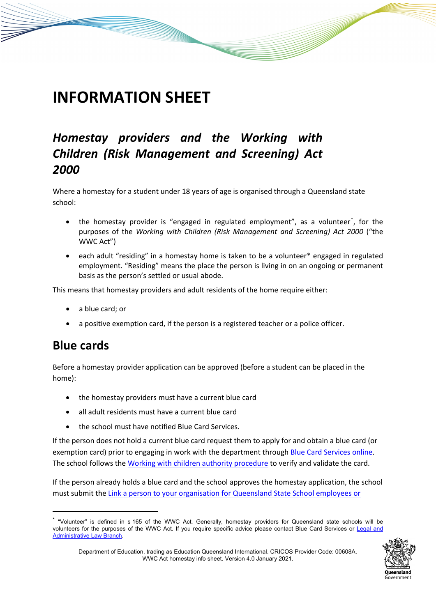# **INFORMATION SHEET**

## *Homestay providers and the Working with Children (Risk Management and Screening) Act 2000*

Where a homestay for a student under 18 years of age is organised through a Queensland state school:

- the homestay provider is "engaged in regulated employment", as a volunteer<sup>[\\*](#page-0-0)</sup>, for the purposes of the *Working with Children (Risk Management and Screening) Act 2000* ("the WWC Act")
- each adult "residing" in a homestay home is taken to be a volunteer\* engaged in regulated employment. "Residing" means the place the person is living in on an ongoing or permanent basis as the person's settled or usual abode.

This means that homestay providers and adult residents of the home require either:

- a blue card; or
- a positive exemption card, if the person is a registered teacher or a police officer.

#### **Blue cards**

<u>.</u>

Before a homestay provider application can be approved (before a student can be placed in the home):

- the homestay providers must have a current blue card
- all adult residents must have a current blue card
- the school must have notified Blue Card Services.

If the person does not hold a current blue card request them to apply for and obtain a blue card (or exemption card) prior to engaging in work with the department through [Blue Card Services online.](https://www.qld.gov.au/law/laws-regulated-industries-and-accountability/queensland-laws-and-regulations/regulated-industries-and-licensing/blue-card-services) The school follows the [Working with children authority procedure](https://ppr.qed.qld.gov.au/pp/working-with-children-authority-procedure) to verify and validate the card.

If the person already holds a blue card and the school approves the homestay application, the school must submit the [Link a person to your organisation for Queensland State School employees or](https://intranet.qed.qld.gov.au/Services/HumanResources/Forms/Documents/Forms/bluecard.aspx) 

<span id="page-0-0"></span><sup>\*</sup> "Volunteer" is defined in s 165 of the WWC Act. Generally, homestay providers for Queensland state schools will be volunteers for the purposes of the WWC Act. If you require specific advice please contact Blue Card Services or Legal and [Administrative Law Branch.](https://oneportal.deta.qld.gov.au/Services/LALB/Pages/default.aspx) 



Department of Education, trading as Education Queensland International. CRICOS Provider Code: 00608A. WWC Act homestay info sheet. Version 4.0 January 2021.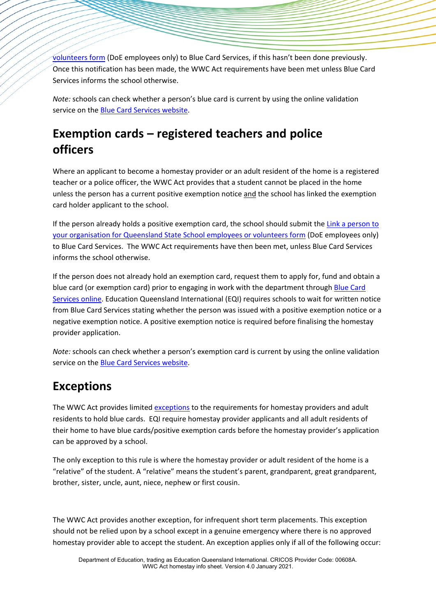[volunteers form](https://intranet.qed.qld.gov.au/Services/HumanResources/Forms/Documents/Forms/bluecard.aspx) (DoE employees only) to Blue Card Services, if this hasn't been done previously. Once this notification has been made, the WWC Act requirements have been met unless Blue Card Services informs the school otherwise.

*Note:* schools can check whether a person's blue card is current by using the online validation service on the [Blue Card Services website.](http://www.bluecard.qld.gov.au/onlinevalidation/index.html)

# **Exemption cards – registered teachers and police officers**

Where an applicant to become a homestay provider or an adult resident of the home is a registered teacher or a police officer, the WWC Act provides that a student cannot be placed in the home unless the person has a current positive exemption notice and the school has linked the exemption card holder applicant to the school.

If the person already holds a positive exemption card, the school should submit the Link a person to [your organisation for Queensland State School employees or volunteers form](https://intranet.qed.qld.gov.au/Services/HumanResources/Forms/Documents/Forms/bluecard.aspx) (DoE employees only) to Blue Card Services. The WWC Act requirements have then been met, unless Blue Card Services informs the school otherwise.

If the person does not already hold an exemption card, request them to apply for, fund and obtain a blue card (or exemption card) prior to engaging in work with the department through [Blue Card](https://www.qld.gov.au/law/laws-regulated-industries-and-accountability/queensland-laws-and-regulations/regulated-industries-and-licensing/blue-card-services)  [Services online.](https://www.qld.gov.au/law/laws-regulated-industries-and-accountability/queensland-laws-and-regulations/regulated-industries-and-licensing/blue-card-services) Education Queensland International (EQI) requires schools to wait for written notice from Blue Card Services stating whether the person was issued with a positive exemption notice or a negative exemption notice. A positive exemption notice is required before finalising the homestay provider application.

*Note:* schools can check whether a person's exemption card is current by using the online validation service on the **Blue Card Services website**.

## **Exceptions**

The WWC Act provides limited [exceptions](https://www.bluecard.qld.gov.au/volunteers/Childaccommodationservicesincludinghomestays.html) to the requirements for homestay providers and adult residents to hold blue cards. EQI require homestay provider applicants and all adult residents of their home to have blue cards/positive exemption cards before the homestay provider's application can be approved by a school.

The only exception to this rule is where the homestay provider or adult resident of the home is a "relative" of the student. A "relative" means the student's parent, grandparent, great grandparent, brother, sister, uncle, aunt, niece, nephew or first cousin.

The WWC Act provides another exception, for infrequent short term placements. This exception should not be relied upon by a school except in a genuine emergency where there is no approved homestay provider able to accept the student. An exception applies only if all of the following occur: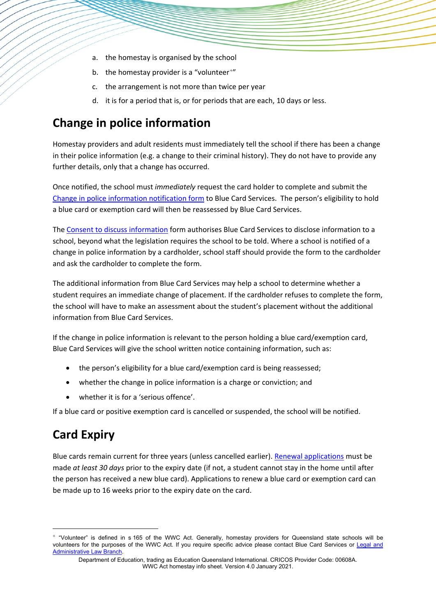- a. the homestay is organised by the school
- b. the homestay provider is a "volunteer<sup>[+](#page-2-0)"</sup>
- c. the arrangement is not more than twice per year
- d. it is for a period that is, or for periods that are each, 10 days or less.

## **Change in police information**

Homestay providers and adult residents must immediately tell the school if there has been a change in their police information (e.g. a change to their criminal history). They do not have to provide any further details, only that a change has occurred.

Once notified, the school must *immediately* request the card holder to complete and submit the [Change in police information notification form](https://www.publications.qld.gov.au/dataset/no-card-no-start-forms/resource/e73ec135-d4f7-48d8-96cf-390384546c1d) to Blue Card Services. The person's eligibility to hold a blue card or exemption card will then be reassessed by Blue Card Services.

The [Consent to discuss information](https://www.publications.qld.gov.au/dataset/no-card-no-start-forms/resource/739a1a8d-51ec-4983-8bd1-9351801e0969) form authorises Blue Card Services to disclose information to a school, beyond what the legislation requires the school to be told. Where a school is notified of a change in police information by a cardholder, school staff should provide the form to the cardholder and ask the cardholder to complete the form.

The additional information from Blue Card Services may help a school to determine whether a student requires an immediate change of placement. If the cardholder refuses to complete the form, the school will have to make an assessment about the student's placement without the additional information from Blue Card Services.

If the change in police information is relevant to the person holding a blue card/exemption card, Blue Card Services will give the school written notice containing information, such as:

- the person's eligibility for a blue card/exemption card is being reassessed;
- whether the change in police information is a charge or conviction; and
- whether it is for a 'serious offence'.

If a blue card or positive exemption card is cancelled or suspended, the school will be notified.

## **Card Expiry**

**.** 

Blue cards remain current for three years (unless cancelled earlier). [Renewal applications](https://www.qld.gov.au/law/laws-regulated-industries-and-accountability/queensland-laws-and-regulations/regulated-industries-and-licensing/blue-card-services) must be made *at least 30 days* prior to the expiry date (if not, a student cannot stay in the home until after the person has received a new blue card). Applications to renew a blue card or exemption card can be made up to 16 weeks prior to the expiry date on the card.

<span id="page-2-0"></span><sup>+</sup> "Volunteer" is defined in s 165 of the WWC Act. Generally, homestay providers for Queensland state schools will be volunteers for the purposes of the WWC Act. If you require specific advice please contact Blue Card Services or Legal and [Administrative Law Branch.](https://oneportal.deta.qld.gov.au/Services/LALB/Pages/default.aspx) 

Department of Education, trading as Education Queensland International. CRICOS Provider Code: 00608A. WWC Act homestay info sheet. Version 4.0 January 2021.